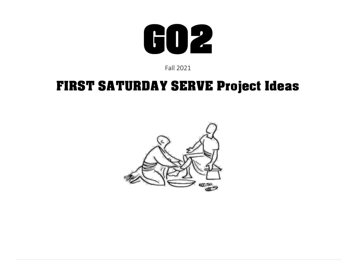

Fall 2021

### FIRST SATURDAY SERVE Project Ideas

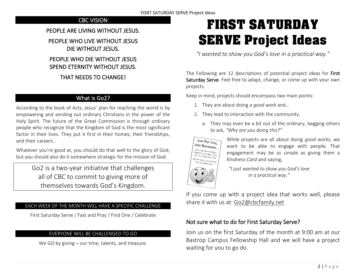### CBC VISION

### PEOPLE ARE LIVING WITHOUT JESUS.

PEOPLE WHO LIVE WITHOUT JESUS DIE WITHOUT JESUS.

### PEOPLE WHO DIE WITHOUT JESUS SPEND ETERNITY WITHOUT JESUS.

### THAT NEEDS TO CHANGE!

### What is Go2?

According to the book of Acts, Jesus' plan for reaching the world is by empowering and sending out ordinary Christians in the power of the Holy Spirit. The future of the Great Commission is through ordinary people who recognize that the Kingdom of God is the most significant factor in their lives. They put it first in their homes, their friendships, and their careers.

Whatever you're good at, you should do that well to the glory of God, but you should also do it somewhere strategic for the mission of God.

> Go2 is a two-year initiative that challenges all of CBC to commit to giving more of themselves towards God's Kingdom.

#### EACH WEEK OF THE MONTH WILL HAVE A SPECIFIC CHALLENGE

First Saturday Serve / Fast and Pray / Find One / Celebrate

#### EVERYONE WILL BE CHALLENGED TO GO

We GO by giving – our time, talents, and treasure.

# FIRST SATURDAY SERVE Project Ideas

*"I wanted to show you God's love in a practical way."*

The Following are 12 descriptions of potential project ideas for First Saturday Serve. Feel free to adapt, change, or come up with your own projects.

Keep in mind, projects should encompass two main points:

- 1. They are about doing a *good work* and…
- 2. They lead to interaction with the community.
	- a. They may even be a bit out of the ordinary, begging others to ask, *"Why are you doing this?"*



While projects are all about doing *good works*, we want to be able to engage with people. That engagement may be as simple as giving them a *Kindness Card* and saying,

*"I just wanted to show you God's love in a practical way."*

If you come up with a project idea that works well, please share it with us at: Go2@cbcfamily.net

### Not sure what to do for First Saturday Serve?

Join us on the first Saturday of the month at 9:00 am at our Bastrop Campus Fellowship Hall and we will have a project waiting for you to go do.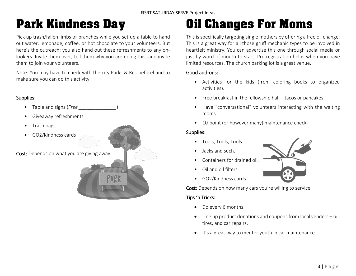### Park Kindness Day

Pick up trash/fallen limbs or branches while you set up a table to hand out water, lemonade, coffee, or hot chocolate to your volunteers. But here's the outreach; you also hand out these refreshments to any onlookers. Invite them over, tell them why you are doing this, and invite them to join your volunteers.

Note: You may have to check with the city Parks & Rec beforehand to make sure you can do this activity.

#### Supplies:

- Table and signs (*Free \_\_\_\_\_\_\_\_\_\_\_\_\_\_*)
- Giveaway refreshments
- Trash bags
- GO2/Kindness cards

Cost: Depends on what you are giving away.



# Oil Changes For Moms

This is specifically targeting single mothers by offering a free oil change. This is a great way for all those gruff mechanic types to be involved in heartfelt ministry. You can advertise this one through social media or just by word of mouth to start. Pre-registration helps when you have limited resources. The church parking lot is a great venue.

#### Good add-ons:

- Activities for the kids (from coloring books to organized activities).
- Free breakfast in the fellowship hall tacos or pancakes.
- Have "conversational" volunteers interacting with the waiting moms.
- 10-point (or however many) maintenance check.

#### Supplies:

- Tools, Tools, Tools.
- Jacks and such.
- Containers for drained oil.
- Oil and oil filters.
- GO2/Kindness cards

Cost: Depends on how many cars you're willing to service.

- Do every 6 months.
- Line up product donations and coupons from local venders oil, tires, and car repairs.
- It's a great way to mentor youth in car maintenance.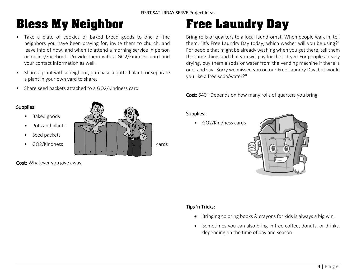### Bless My Neighbor

- Take a plate of cookies or baked bread goods to one of the neighbors you have been praying for, invite them to church, and leave info of how, and when to attend a morning service in person or online/Facebook. Provide them with a GO2/Kindness card and your contact information as well.
- Share a plant with a neighbor, purchase a potted plant, or separate a plant in your own yard to share.
- Share seed packets attached to a GO2/Kindness card

#### Supplies:

- Baked goods
- Pots and plants
- Seed packets
- 



Cost: Whatever you give away

# Free Laundry Day

Bring rolls of quarters to a local laundromat. When people walk in, tell them, "It's Free Laundry Day today; which washer will you be using?" For people that might be already washing when you get there, tell them the same thing, and that you will pay for their dryer. For people already drying, buy them a soda or water from the vending machine if there is one, and say "Sorry we missed you on our Free Laundry Day, but would you like a free soda/water?"

Cost: \$40+ Depends on how many rolls of quarters you bring.

#### Supplies:

• GO2/Kindness cards



- Bringing coloring books & crayons for kids is always a big win.
- Sometimes you can also bring in free coffee, donuts, or drinks, depending on the time of day and season.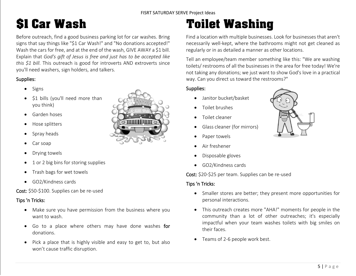# \$1 Car Wash

Before outreach, find a good business parking lot for car washes. Bring signs that say things like "\$1 Car Wash!" and "No donations accepted!" Wash the cars for free, and at the end of the wash, GIVE AWAY a \$1 bill. Explain that *God's gift of Jesus is free and just has to be accepted like this \$1 bill*. This outreach is good for introverts AND extroverts since you'll need washers, sign holders, and talkers.

#### Supplies:

- Signs
- \$1 bills (you'll need more than you think)
- Garden hoses
- Hose splitters
- Spray heads
- Car soap
- Drying towels
- 1 or 2 big bins for storing supplies
- Trash bags for wet towels
- GO2/Kindness cards

#### Cost: \$50-\$100. Supplies can be re-used

#### Tips 'n Tricks:

- Make sure you have permission from the business where you want to wash.
- Go to a place where others may have done washes for donations.
- Pick a place that is highly visible and easy to get to, but also won't cause traffic disruption.



# Toilet Washing

Find a location with multiple businesses. Look for businesses that aren't necessarily well-kept, where the bathrooms might not get cleaned as regularly or in as detailed a manner as other locations.

Tell an employee/team member something like this: "We are washing toilets/ restrooms of all the businesses in the area for free today! We're not taking any donations; we just want to show God's love in a practical way. Can you direct us toward the restrooms?"

#### Supplies:

- Janitor bucket/basket
- Toilet brushes
- Toilet cleaner
- Glass cleaner (for mirrors)
- Paper towels
- Air freshener
- Disposable gloves
- GO2/Kindness cards

Cost: \$20-\$25 per team. Supplies can be re-used

- Smaller stores are better; they present more opportunities for personal interactions.
- This outreach creates more "AHA!" moments for people in the community than a lot of other outreaches; it's especially impactful when your team washes toilets with big smiles on their faces.
- Teams of 2-6 people work best.

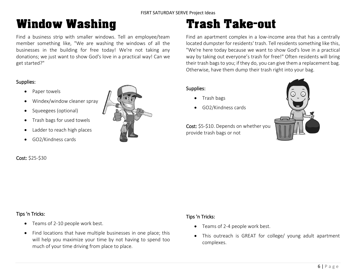### Window Washing

Find a business strip with smaller windows. Tell an employee/team member something like, "We are washing the windows of all the businesses in the building for free today! We're not taking any donations; we just want to show God's love in a practical way! Can we get started?"

#### Supplies:

- Paper towels
- Windex/window cleaner spray
- Squeegees (optional)
- Trash bags for used towels
- Ladder to reach high places
- GO2/Kindness cards

#### Cost: \$25-\$30



# Trash Take-out

Find an apartment complex in a low-income area that has a centrally located dumpster for residents' trash. Tell residents something like this, "We're here today because we want to show God's love in a practical way by taking out everyone's trash for free!" Often residents will bring their trash bags to you; if they do, you can give them a replacement bag. Otherwise, have them dump their trash right into your bag.

#### Supplies:

- Trash bags
- GO2/Kindness cards



Cost: \$5-\$10. Depends on whether you provide trash bags or not

#### Tips 'n Tricks:

- Teams of 2-10 people work best.
- Find locations that have multiple businesses in one place; this will help you maximize your time by not having to spend too much of your time driving from place to place.

- Teams of 2-4 people work best.
- This outreach is GREAT for college/ young adult apartment complexes.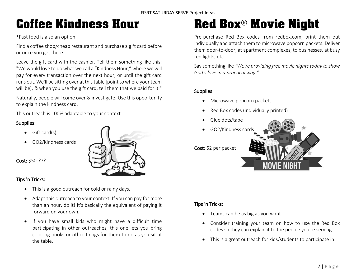# Coffee Kindness Hour

\*Fast food is also an option.

Find a coffee shop/cheap restaurant and purchase a gift card before or once you get there.

Leave the gift card with the cashier. Tell them something like this: "We would love to do what we call a "Kindness Hour," where we will pay for every transaction over the next hour, or until the gift card runs out. We'll be sitting over at this table [point to where your team will be], & when you use the gift card, tell them that we paid for it."

Naturally, people will come over & investigate. Use this opportunity to explain the kindness card.

This outreach is 100% adaptable to your context.

#### Supplies:

- Gift card(s)
- GO2/Kindness cards



Cost: \$50-???

#### Tips 'n Tricks:

- This is a good outreach for cold or rainy days.
- Adapt this outreach to your context. If you can pay for more than an hour, do it! It's basically the equivalent of paying it forward on your own.
- If you have small kids who might have a difficult time participating in other outreaches, this one lets you bring coloring books or other things for them to do as you sit at the table.

# Red Box® Movie Night

Pre-purchase Red Box codes from redbox.com, print them out individually and attach them to microwave popcorn packets. Deliver them door-to-door, at apartment complexes, to businesses, at busy red lights, etc.

Say something like *"We're providing free movie nights today to show God's love in a practical way."*

#### Supplies:

- Microwave popcorn packets
- Red Box codes (individually printed)
- Glue dots/tape
- GO2/Kindness cards

Cost: \$2 per packet



- Teams can be as big as you want
- Consider training your team on how to use the Red Box codes so they can explain it to the people you're serving.
- This is a great outreach for kids/students to participate in.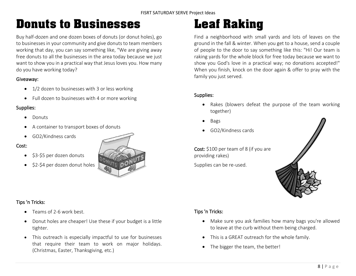### Donuts to Businesses

Buy half-dozen and one dozen boxes of donuts (or donut holes), go to businesses in your community and give donuts to team members working that day, you can say something like, "We are giving away free donuts to all the businesses in the area today because we just want to show you in a practical way that Jesus loves you. How many do you have working today?

#### Giveaway:

- 1/2 dozen to businesses with 3 or less working
- Full dozen to businesses with 4 or more working

#### Supplies:

- Donuts
- A container to transport boxes of donuts
- GO2/Kindness cards

#### Cost:

- \$3-\$5 per dozen donuts
- \$2-\$4 per dozen donut holes

### Tips 'n Tricks:

- Teams of 2-6 work best.
- Donut holes are cheaper! Use these if your budget is a little tighter.
- This outreach is especially impactful to use for businesses that require their team to work on major holidays. (Christmas, Easter, Thanksgiving, etc.)

# Leaf Raking

Find a neighborhood with small yards and lots of leaves on the ground in the fall & winter. When you get to a house, send a couple of people to the door to say something like this: "Hi! Our team is raking yards for the whole block for free today because we want to show you God's love in a practical way; no donations accepted!" When you finish, knock on the door again & offer to pray with the family you just served.

#### Supplies:

- Rakes (blowers defeat the purpose of the team working together)
- Bags
- GO2/Kindness cards

Cost: \$100 per team of 8 (if you are providing rakes)

Supplies can be re-used.



- Make sure you ask families how many bags you're allowed to leave at the curb without them being charged.
- This is a GREAT outreach for the whole family.
- The bigger the team, the better!